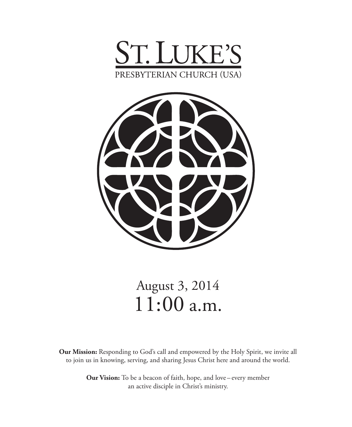



August 3, 2014 11:00 a.m.

**Our Mission:** Responding to God's call and empowered by the Holy Spirit, we invite all to join us in knowing, serving, and sharing Jesus Christ here and around the world.

> **Our Vision:** To be a beacon of faith, hope, and love – every member an active disciple in Christ's ministry.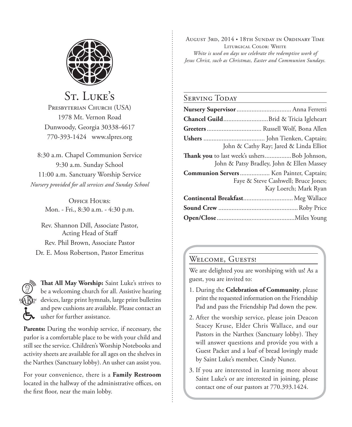

St. Luke's PRESBYTERIAN CHURCH (USA) 1978 Mt. Vernon Road Dunwoody, Georgia 30338-4617 770-393-1424 www.slpres.org

8:30 a.m. Chapel Communion Service 9:30 a.m. Sunday School 11:00 a.m. Sanctuary Worship Service *Nursery provided for all services and Sunday School*

> OFFICE HOURS' Mon. - Fri., 8:30 a.m. - 4:30 p.m.

Rev. Shannon Dill, Associate Pastor, Acting Head of Staff Rev. Phil Brown, Associate Pastor Dr. E. Moss Robertson, Pastor Emeritus



**That All May Worship:** Saint Luke's strives to be a welcoming church for all. Assistive hearing devices, large print hymnals, large print bulletins and pew cushions are available. Please contact an usher for further assistance.

**Parents:** During the worship service, if necessary, the parlor is a comfortable place to be with your child and still see the service. Children's Worship Notebooks and activity sheets are available for all ages on the shelves in the Narthex (Sanctuary lobby). An usher can assist you.

For your convenience, there is a **Family Restroom** located in the hallway of the administrative offices, on the first floor, near the main lobby.

August 3rd, 2014 • 18th Sunday in Ordinary Time Liturgical Color: White *White is used on days we celebrate the redemptive work of Jesus Christ, such as Christmas, Easter and Communion Sundays.* 

#### SERVING TODAY

| John & Cathy Ray; Jared & Linda Elliot                                                                  |
|---------------------------------------------------------------------------------------------------------|
| Thank you to last week's ushersBob Johnson,<br>John & Patsy Bradley, John & Ellen Massey                |
| Communion Servers Ken Painter, Captain;<br>Faye & Steve Cashwell; Bruce Jones;<br>Kay Loerch; Mark Ryan |
| Continental Breakfast Meg Wallace                                                                       |
|                                                                                                         |
|                                                                                                         |

#### WELCOME, GUESTS!

We are delighted you are worshiping with us! As a guest, you are invited to:

- 1. During the **Celebration of Community**, please print the requested information on the Friendship Pad and pass the Friendship Pad down the pew.
- 2. After the worship service, please join Deacon Stacey Kruse, Elder Chris Wallace, and our Pastors in the Narthex (Sanctuary lobby). They will answer questions and provide you with a Guest Packet and a loaf of bread lovingly made by Saint Luke's member, Cindy Nunez.
- 3. If you are interested in learning more about Saint Luke's or are interested in joining, please contact one of our pastors at 770.393.1424.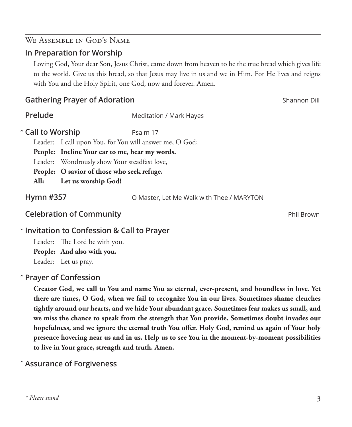#### We Assemble in God's Name

#### **In Preparation for Worship**

 Loving God, Your dear Son, Jesus Christ, came down from heaven to be the true bread which gives life to the world. Give us this bread, so that Jesus may live in us and we in Him. For He lives and reigns with You and the Holy Spirit, one God, now and forever. Amen.

#### **Gathering Prayer of Adoration** Shannon Dill

**Prelude** Meditation / Mark Hayes

**Call to Worship Fig. 17** Psalm 17

Leader: I call upon You, for You will answer me, O God;

**People: Incline Your ear to me, hear my words.** 

Leader: Wondrously show Your steadfast love,

**People: O savior of those who seek refuge.**

**All: Let us worship God!**

**Hymn #357** O Master, Let Me Walk with Thee / MARYTON

**Celebration of Community Phil Brown** 

## **Invitation to Confession & Call to Prayer**  \*

Leader: The Lord be with you. **People: And also with you.** Leader: Let us pray.

### **Prayer of Confession**  \*

 **Creator God, we call to You and name You as eternal, ever-present, and boundless in love. Yet there are times, O God, when we fail to recognize You in our lives. Sometimes shame clenches tightly around our hearts, and we hide Your abundant grace. Sometimes fear makes us small, and we miss the chance to speak from the strength that You provide. Sometimes doubt invades our hopefulness, and we ignore the eternal truth You offer. Holy God, remind us again of Your holy presence hovering near us and in us. Help us to see You in the moment-by-moment possibilities to live in Your grace, strength and truth. Amen.**

## **Assurance of Forgiveness** \*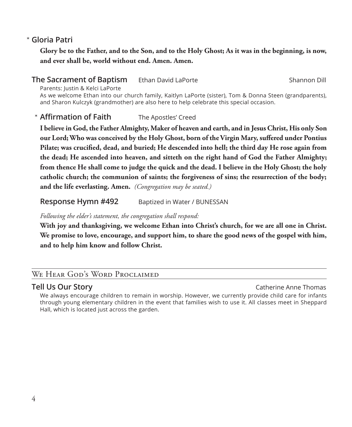## **Gloria Patri** \*

### **Glory be to the Father, and to the Son, and to the Holy Ghost; As it was in the beginning, is now, and ever shall be, world without end. Amen. Amen.**

#### **The Sacrament of Baptism** Ethan David LaPorte Shannon Dill Shannon Dill

Parents: Justin & Kelci LaPorte

As we welcome Ethan into our church family, Kaitlyn LaPorte (sister), Tom & Donna Steen (grandparents), and Sharon Kulczyk (grandmother) are also here to help celebrate this special occasion.

### **Affirmation of Faith** The Apostles' Creed \*

 **I believe in God, the Father Almighty, Maker of heaven and earth, and in Jesus Christ, His only Son our Lord; Who was conceived by the Holy Ghost, born of the Virgin Mary, suffered under Pontius Pilate; was crucified, dead, and buried; He descended into hell; the third day He rose again from the dead; He ascended into heaven, and sitteth on the right hand of God the Father Almighty; from thence He shall come to judge the quick and the dead. I believe in the Holy Ghost; the holy catholic church; the communion of saints; the forgiveness of sins; the resurrection of the body; and the life everlasting. Amen.** *(Congregation may be seated.)*

**Response Hymn #492** Baptized in Water / BUNESSAN

#### *Following the elder's statement, the congregation shall respond:*

 **With joy and thanksgiving, we welcome Ethan into Christ's church, for we are all one in Christ. We promise to love, encourage, and support him, to share the good news of the gospel with him, and to help him know and follow Christ.**

#### We Hear God's Word Proclaimed

**Tell Us Our Story** Catherine Anne Thomas

We always encourage children to remain in worship. However, we currently provide child care for infants through young elementary children in the event that families wish to use it. All classes meet in Sheppard Hall, which is located just across the garden.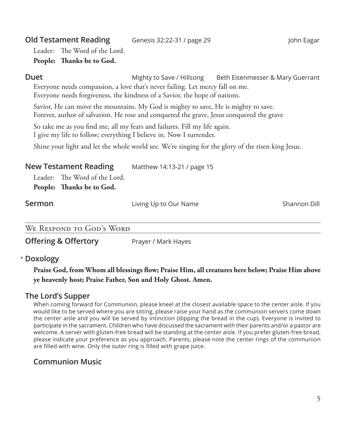## Leader: The Word of the Lord. **People: Thanks be to God. Duet** Mighty to Save / Hillsong Beth Eisenmesser & Mary Guerrant Everyone needs compassion, a love that's never failing. Let mercy fall on me. Everyone needs forgiveness, the kindness of a Savior, the hope of nations. Savior, He can move the mountains. My God is mighty to save, He is mighty to save. Forever, author of salvation. He rose and conquered the grave, Jesus conquered the grave So take me as you find me, all my fears and failures. Fill my life again.

I give my life to follow; everything I believe in. Now I surrender.

Shine your light and let the whole world see. We're singing for the glory of the risen king Jesus.

| <b>New Testament Reading</b> |                                                            | Matthew 14:13-21 / page 15 |              |
|------------------------------|------------------------------------------------------------|----------------------------|--------------|
|                              | Leader: The Word of the Lord.<br>People: Thanks be to God. |                            |              |
| Sermon                       |                                                            | Living Up to Our Name      | Shannon Dill |
|                              | WE RESPOND TO GOD'S WORD                                   |                            |              |

**Offering & Offertory** Prayer / Mark Hayes

## **Doxology** \*

 **Praise God, from Whom all blessings flow; Praise Him, all creatures here below; Praise Him above ye heavenly host; Praise Father, Son and Holy Ghost. Amen.**

## **The Lord's Supper**

When coming forward for Communion, please kneel at the closest available space to the center aisle. If you would like to be served where you are sitting, please raise your hand as the communion servers come down the center aisle and you will be served by intinction (dipping the bread in the cup). Everyone is invited to participate in the sacrament. Children who have discussed the sacrament with their parents and/or a pastor are welcome. A server with gluten-free bread will be standing at the center aisle. If you prefer gluten-free bread, please indicate your preference as you approach. Parents, please note the center rings of the communion are filled with wine. Only the outer ring is filled with grape juice.

## **Communion Music**

#### **Old Testament Reading** Genesis 32:22-31 / page 29 John Eagar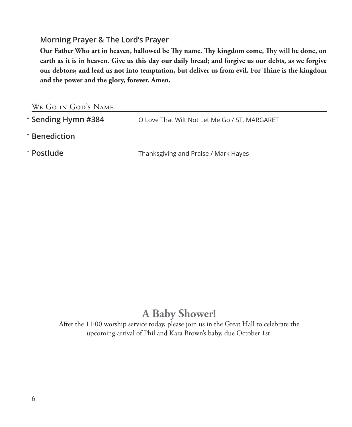## **Morning Prayer & The Lord's Prayer**

 **Our Father Who art in heaven, hallowed be Thy name. Thy kingdom come, Thy will be done, on earth as it is in heaven. Give us this day our daily bread; and forgive us our debts, as we forgive our debtors; and lead us not into temptation, but deliver us from evil. For Thine is the kingdom and the power and the glory, forever. Amen.**

| WE GO IN GOD'S NAME |                                               |
|---------------------|-----------------------------------------------|
| * Sending Hymn #384 | O Love That Wilt Not Let Me Go / ST. MARGARET |
| * Benediction       |                                               |
| * Postlude          | Thanksgiving and Praise / Mark Hayes          |

# **A Baby Shower!**

After the 11:00 worship service today, please join us in the Great Hall to celebrate the upcoming arrival of Phil and Kara Brown's baby, due October 1st.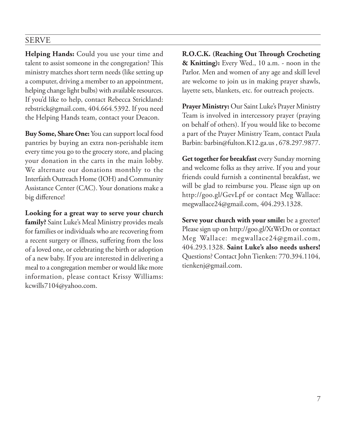### SERVE

**Helping Hands:** Could you use your time and talent to assist someone in the congregation? This ministry matches short term needs (like setting up a computer, driving a member to an appointment, helping change light bulbs) with available resources. If you'd like to help, contact Rebecca Strickland: rebstrick@gmail.com, 404.664.5392. If you need the Helping Hands team, contact your Deacon.

**Buy Some, Share One:** You can support local food pantries by buying an extra non-perishable item every time you go to the grocery store, and placing your donation in the carts in the main lobby. We alternate our donations monthly to the Interfaith Outreach Home (IOH) and Community Assistance Center (CAC). Your donations make a big difference!

**Looking for a great way to serve your church family?** Saint Luke's Meal Ministry provides meals for families or individuals who are recovering from a recent surgery or illness, suffering from the loss of a loved one, or celebrating the birth or adoption of a new baby. If you are interested in delivering a meal to a congregation member or would like more information, please contact Krissy Williams: kcwills7104@yahoo.com.

**R.O.C.K. (Reaching Out Through Crocheting & Knitting):** Every Wed., 10 a.m. - noon in the Parlor. Men and women of any age and skill level are welcome to join us in making prayer shawls, layette sets, blankets, etc. for outreach projects.

**Prayer Ministry:** Our Saint Luke's Prayer Ministry Team is involved in intercessory prayer (praying on behalf of others). If you would like to become a part of the Prayer Ministry Team, contact Paula Barbin: barbin@fulton.K12.ga.us , 678.297.9877.

Get together for breakfast every Sunday morning and welcome folks as they arrive. If you and your friends could furnish a continental breakfast, we will be glad to reimburse you. Please sign up on http://goo.gl/GevLpf or contact Meg Wallace: megwallace24@gmail.com, 404.293.1328.

**Serve your church with your smile:** be a greeter! Please sign up on http://goo.gl/XtWrDn or contact Meg Wallace: megwallace24@gmail.com, 404.293.1328. **Saint Luke's also needs ushers!** Questions? Contact John Tienken: 770.394.1104, tienkenj@gmail.com.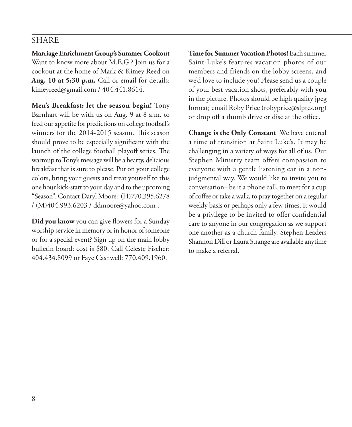#### SHARE

**Marriage Enrichment Group's Summer Cookout**  Want to know more about M.E.G.? Join us for a cookout at the home of Mark & Kimey Reed on **Aug. 10 at 5:30 p.m.** Call or email for details: kimeyreed@gmail.com / 404.441.8614.

**Men's Breakfast: let the season begin!** Tony Barnhart will be with us on Aug. 9 at 8 a.m. to feed our appetite for predictions on college football's winners for the 2014-2015 season. This season should prove to be especially significant with the launch of the college football playoff series. The warmup to Tony's message will be a hearty, delicious breakfast that is sure to please. Put on your college colors, bring your guests and treat yourself to this one hour kick-start to your day and to the upcoming "Season". Contact Daryl Moore: (H)770.395.6278 / (M)404.993.6203 / ddmoore@yahoo.com .

**Did you know** you can give flowers for a Sunday worship service in memory or in honor of someone or for a special event? Sign up on the main lobby bulletin board; cost is \$80. Call Celeste Fischer: 404.434.8099 or Faye Cashwell: 770.409.1960.

**Time for Summer Vacation Photos!** Each summer Saint Luke's features vacation photos of our members and friends on the lobby screens, and we'd love to include you! Please send us a couple of your best vacation shots, preferably with **you** in the picture. Photos should be high quality jpeg format; email Roby Price (robyprice@slpres.org) or drop off a thumb drive or disc at the office.

**Change is the Only Constant** We have entered a time of transition at Saint Luke's. It may be challenging in a variety of ways for all of us. Our Stephen Ministry team offers compassion to everyone with a gentle listening ear in a nonjudgmental way. We would like to invite you to conversation–be it a phone call, to meet for a cup of coffee or take a walk, to pray together on a regular weekly basis or perhaps only a few times. It would be a privilege to be invited to offer confidential care to anyone in our congregation as we support one another as a church family. Stephen Leaders Shannon Dill or Laura Strange are available anytime to make a referral.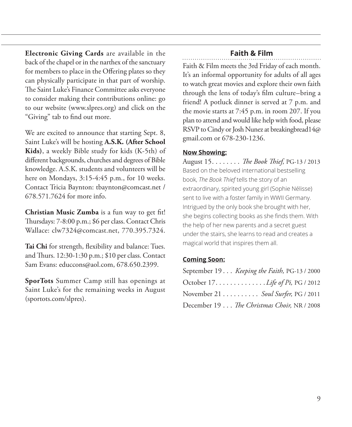**Electronic Giving Cards** are available in the back of the chapel or in the narthex of the sanctuary for members to place in the Offering plates so they can physically participate in that part of worship. The Saint Luke's Finance Committee asks everyone to consider making their contributions online: go to our website (www.slpres.org) and click on the "Giving" tab to find out more.

We are excited to announce that starting Sept. 8, Saint Luke's will be hosting **A.S.K. (After School Kids)**, a weekly Bible study for kids (K-5th) of different backgrounds, churches and degrees of Bible knowledge. A.S.K. students and volunteers will be here on Mondays, 3:15-4:45 p.m., for 10 weeks. Contact Tricia Baynton: tbaynton@comcast.net / 678.571.7624 for more info.

**Christian Music Zumba** is a fun way to get fit! Thursdays: 7-8:00 p.m.; \$6 per class. Contact Chris Wallace: clw7324@comcast.net, 770.395.7324.

**Tai Chi** for strength, flexibility and balance: Tues. and Thurs. 12:30-1:30 p.m.; \$10 per class. Contact Sam Evans: educcons@aol.com, 678.650.2399.

**SporTots** Summer Camp still has openings at Saint Luke's for the remaining weeks in August (sportots.com/slpres).

## **Faith & Film**

Faith & Film meets the 3rd Friday of each month. It's an informal opportunity for adults of all ages to watch great movies and explore their own faith through the lens of today's film culture–bring a friend! A potluck dinner is served at 7 p.m. and the movie starts at 7:45 p.m. in room 207. If you plan to attend and would like help with food, please RSVP to Cindy or Josh Nunez at breakingbread14@ gmail.com or 678-230-1236.

#### **Now Showing:**

August 15. . . *The Book Thief,* PG-13 / 2013 Based on the beloved international bestselling book, *The Book Thief* tells the story of an extraordinary, spirited young girl (Sophie Nélisse) sent to live with a foster family in WWII Germany. Intrigued by the only book she brought with her, she begins collecting books as she finds them. With the help of her new parents and a secret guest under the stairs, she learns to read and creates a magical world that inspires them all.

## **Coming Soon:**

| September 19 Keeping the Faith, PG-13 / 2000 |
|----------------------------------------------|
| October 17. <i>Life of Pi</i> , PG / 2012    |
| November 21 Soul Surfer, PG / 2011           |
| December 19 The Christmas Choir, NR / 2008   |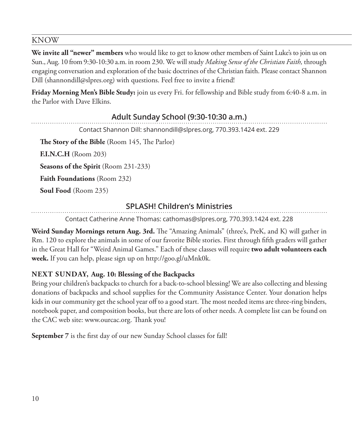#### KNOW

**We invite all "newer" members** who would like to get to know other members of Saint Luke's to join us on Sun., Aug. 10 from 9:30-10:30 a.m. in room 230. We will study *Making Sense of the Christian Faith,* through engaging conversation and exploration of the basic doctrines of the Christian faith. Please contact Shannon Dill (shannondill@slpres.org) with questions. Feel free to invite a friend!

**Friday Morning Men's Bible Study:** join us every Fri. for fellowship and Bible study from 6:40-8 a.m. in the Parlor with Dave Elkins.

## **Adult Sunday School (9:30-10:30 a.m.)**

Contact Shannon Dill: shannondill@slpres.org, 770.393.1424 ext. 229 **The Story of the Bible** (Room 145, The Parlor) **F.I.N.C.H** (Room 203) **Seasons of the Spirit** (Room 231-233) **Faith Foundations** (Room 232) **Soul Food** (Room 235)

## **SPLASH! Children's Ministries**

Contact Catherine Anne Thomas: cathomas@slpres.org, 770.393.1424 ext. 228

**Weird Sunday Mornings return Aug. 3rd.** The "Amazing Animals" (three's, PreK, and K) will gather in Rm. 120 to explore the animals in some of our favorite Bible stories. First through fifth graders will gather in the Great Hall for "Weird Animal Games." Each of these classes will require **two adult volunteers each week.** If you can help, please sign up on http://goo.gl/uMnk0k.

#### **NEXT SUNDAY, Aug. 10: Blessing of the Backpacks**

Bring your children's backpacks to church for a back-to-school blessing! We are also collecting and blessing donations of backpacks and school supplies for the Community Assistance Center. Your donation helps kids in our community get the school year off to a good start. The most needed items are three-ring binders, notebook paper, and composition books, but there are lots of other needs. A complete list can be found on the CAC web site: www.ourcac.org. Thank you!

**September 7** is the first day of our new Sunday School classes for fall!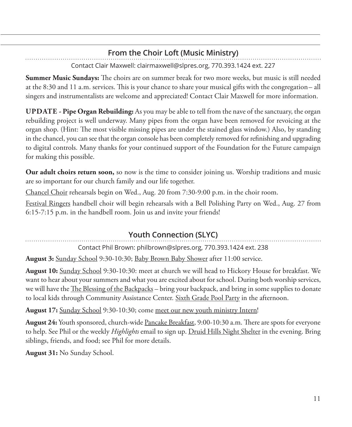## **From the Choir Loft (Music Ministry)**

Contact Clair Maxwell: clairmaxwell@slpres.org, 770.393.1424 ext. 227

**Summer Music Sundays:** The choirs are on summer break for two more weeks, but music is still needed at the 8:30 and 11 a.m. services. This is your chance to share your musical gifts with the congregation– all singers and instrumentalists are welcome and appreciated! Contact Clair Maxwell for more information.

**UPDATE - Pipe Organ Rebuilding:** As you may be able to tell from the nave of the sanctuary, the organ rebuilding project is well underway. Many pipes from the organ have been removed for revoicing at the organ shop. (Hint: The most visible missing pipes are under the stained glass window.) Also, by standing in the chancel, you can see that the organ console has been completely removed for refinishing and upgrading to digital controls. Many thanks for your continued support of the Foundation for the Future campaign for making this possible.

**Our adult choirs return soon,** so now is the time to consider joining us. Worship traditions and music are so important for our church family and our life together.

Chancel Choir rehearsals begin on Wed., Aug. 20 from 7:30-9:00 p.m. in the choir room.

Festival Ringers handbell choir will begin rehearsals with a Bell Polishing Party on Wed., Aug. 27 from 6:15-7:15 p.m. in the handbell room. Join us and invite your friends!

## **Youth Connection (SLYC)**

Contact Phil Brown: philbrown@slpres.org, 770.393.1424 ext. 238

**August 3:** Sunday School 9:30-10:30; Baby Brown Baby Shower after 11:00 service.

**August 10:** Sunday School 9:30-10:30: meet at church we will head to Hickory House for breakfast. We want to hear about your summers and what you are excited about for school. During both worship services, we will have the <u>The Blessing of the Backpacks</u> – bring your backpack, and bring in some supplies to donate to local kids through Community Assistance Center. Sixth Grade Pool Party in the afternoon.

**August 17:** Sunday School 9:30-10:30; come meet our new youth ministry Intern!

**August 24:** Youth sponsored, church-wide Pancake Breakfast, 9:00-10:30 a.m. There are spots for everyone to help. See Phil or the weekly *Highlights* email to sign up. Druid Hills Night Shelter in the evening. Bring siblings, friends, and food; see Phil for more details.

**August 31:** No Sunday School.